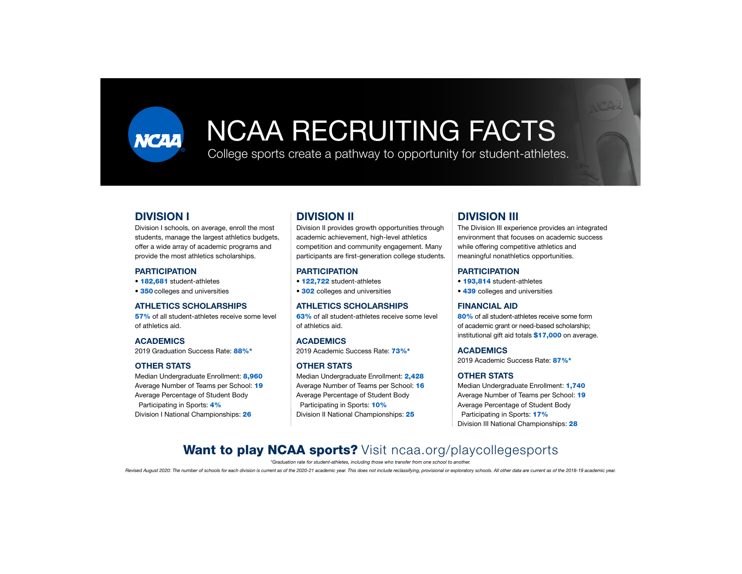**NCAA** 

# NCAA RECRUITING FACTS

College sports create a pathway to opportunity for student-athletes.

## DIVISION I

Division I schools, on average, enroll the most students, manage the largest athletics budgets, offer a wide array of academic programs and provide the most athletics scholarships.

#### **PARTICIPATION**

- 182,681 student-athletes
- 350 colleges and universities

#### ATHLETICS SCHOLARSHIPS

57% of all student-athletes receive some levelof athletics aid.

#### ACADEMICS

2019 Graduation Success Rate: 88%\*

#### OTHER STATS

Median Undergraduate Enrollment: 8.960 Average Number of Teams per School: 19 Average Percentage of Student Body Participating in Sports: 4% Division I National Championships: 26

# DIVISION II

Division II provides growth opportunities through academic achievement, high-level athletics competition and community engagement. Many participants are first-generation college students.

#### **PARTICIPATION**

- 122,722 student-athletes
- 302 colleges and universities

#### ATHLETICS SCHOLARSHIPS

63% of all student-athletes receive some levelof athletics aid.

**ACADEMICS** 2019 Academic Success Rate: 73%\*

#### OTHER STATS

Median Undergraduate Enrollment: 2.428 Average Number of Teams per School: 16 Average Percentage of Student Body Participating in Sports: 10% Division II National Championships: 25

## DIVISION III

The Division III experience provides an integrated environment that focuses on academic success while offering competitive athletics and meaningful nonathletics opportunities.

#### PARTICIPATION

- 193.814 student-athletes
- 439 colleges and universities

#### FINANCIAL AID

80% of all student-athletes receive some form of academic grant or need-based scholarship; institutional gift aid totals \$17,000 on average.

**ACADEMICS** 2019 Academic Success Rate: 87%\*

#### OTHER STATS

Median Undergraduate Enrollment: 1,740 Average Number of Teams per School: 19 Average Percentage of Student Body Participating in Sports: 17% Division III National Championships: 28

# Want to play NCAA sports? Visit ncaa.org/playcollegesports

*\*Graduation rate for student-athletes, including those who transfer from one school to another.*

Revised August 2020: The number of schools for each division is current as of the 2020-21 academic year. This does not include reclassifying, provisional or exploratory schools. All other data are current as of the 2018-19